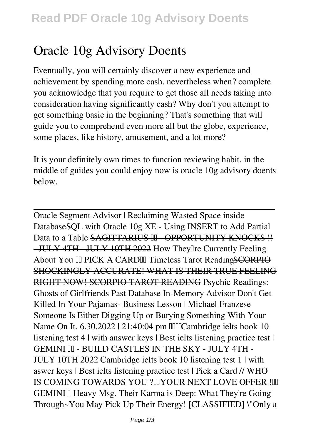## **Oracle 10g Advisory Doents**

Eventually, you will certainly discover a new experience and achievement by spending more cash. nevertheless when? complete you acknowledge that you require to get those all needs taking into consideration having significantly cash? Why don't you attempt to get something basic in the beginning? That's something that will guide you to comprehend even more all but the globe, experience, some places, like history, amusement, and a lot more?

It is your definitely own times to function reviewing habit. in the middle of guides you could enjoy now is **oracle 10g advisory doents** below.

Oracle Segment Advisor | Reclaiming Wasted Space inside Database**SQL with Oracle 10g XE - Using INSERT to Add Partial** Data to a Table SAGITTARIUS <sup>III</sup> OPPORTUNITY KNOCKS !! - JULY 4TH JULY 10TH 2022 How Theyllre Currently Feeling About You III PICK A CARDIII Timeless Tarot Reading SCORPIO SHOCKINGLY ACCURATE! WHAT IS THEIR TRUE FEELING RIGHT NOW! SCORPIO TAROT READING *Psychic Readings: Ghosts of Girlfriends Past* Database In-Memory Advisor *Don't Get Killed In Your Pajamas- Business Lesson | Michael Franzese Someone Is Either Digging Up or Burying Something With Your Name On It. 6.30.2022 | 21:40:04 pm ☕️Cambridge ielts book 10 listening test 4 | with answer keys | Best ielts listening practice test | GEMINI ♊️ - BUILD CASTLES IN THE SKY - JULY 4TH - JULY 10TH 2022* Cambridge ielts book 10 listening test 1 | with aswer keys | Best ielts listening practice test | **Pick a Card // WHO** IS COMING TOWARDS YOU ?UIYOUR NEXT LOVE OFFER !UI **GEMINI II Heavy Msg. Their Karma is Deep: What They're Going Through~You May Pick Up Their Energy! [CLASSIFIED] \"Only a**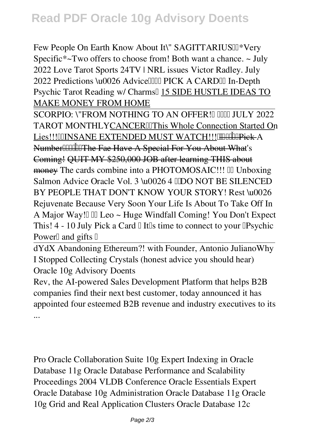Few People On Earth Know About It\" SAGITTARIUS $\mathbb{I}$ <sup>\*</sup>Very *Specific\*~Two offers to choose from! Both want a chance. ~ July 2022 Love Tarot* Sports 24TV | NRL issues Victor Radley. *July* 2022 Predictions \u0026 Advice<sup>[[[[[[[[[[[[[[[[[]]]</sup> PICK A CARD <sup>[[[]</sup> In-Depth *Psychic Tarot Reading w/ Charms✨* 15 SIDE HUSTLE IDEAS TO MAKE MONEY FROM HOME

SCORPIO: \"FROM NOTHING TO AN OFFER! I HHI JULY 2022 TAROT MONTHLYCANCERIIThis Whole Connection Started On Lies!!!IIINSANE EXTENDED MUST WATCH!!!!!!!!!!!!!!!!! Number<sup>[1]</sup>[1]<sup>[1]</sup>The Fae Have A Special For You About What's Coming! QUIT MY \$250,000 JOB after learning THIS about money The cards combine into a PHOTOMOSAIC!!! Unboxing Salmon Advice Oracle Vol. 3 \u0026 4 **IDO NOT BE SILENCED BY PEOPLE THAT DON'T KNOW YOUR STORY!** Rest \u0026 Rejuvenate Because Very Soon Your Life Is About To Take Off In A Major Way!✨ **♌️ Leo ~ Huge Windfall Coming! You Don't Expect** This! 4 - 10 July Pick a Card **□** It<sup>*IIs*</sup> time to connect to your **□Psychic Power***a* and gifts **□** 

dYdX Abandoning Ethereum?! with Founder, Antonio Juliano**Why I Stopped Collecting Crystals (honest advice you should hear)** *Oracle 10g Advisory Doents*

Rev, the AI-powered Sales Development Platform that helps B2B companies find their next best customer, today announced it has appointed four esteemed B2B revenue and industry executives to its ...

Pro Oracle Collaboration Suite 10g Expert Indexing in Oracle Database 11g Oracle Database Performance and Scalability Proceedings 2004 VLDB Conference Oracle Essentials Expert Oracle Database 10g Administration Oracle Database 11g Oracle 10g Grid and Real Application Clusters Oracle Database 12c